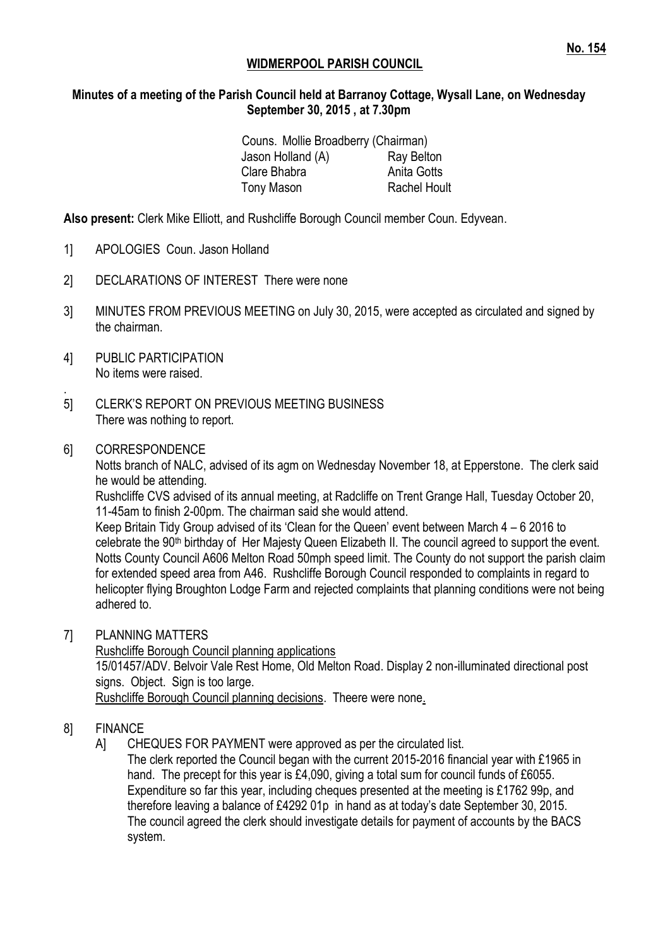# **WIDMERPOOL PARISH COUNCIL**

#### **Minutes of a meeting of the Parish Council held at Barranoy Cottage, Wysall Lane, on Wednesday September 30, 2015 , at 7.30pm**

| Couns. Mollie Broadberry (Chairman) |
|-------------------------------------|
| Ray Belton                          |
| Anita Gotts                         |
| <b>Rachel Hoult</b>                 |
|                                     |

**Also present:** Clerk Mike Elliott, and Rushcliffe Borough Council member Coun. Edyvean.

- 1] APOLOGIES Coun. Jason Holland
- 2] DECLARATIONS OF INTEREST There were none
- 3] MINUTES FROM PREVIOUS MEETING on July 30, 2015, were accepted as circulated and signed by the chairman.
- 4] PUBLIC PARTICIPATION No items were raised.
- . 5] CLERK'S REPORT ON PREVIOUS MEETING BUSINESS There was nothing to report.
- 6] CORRESPONDENCE

Notts branch of NALC, advised of its agm on Wednesday November 18, at Epperstone. The clerk said he would be attending.

Rushcliffe CVS advised of its annual meeting, at Radcliffe on Trent Grange Hall, Tuesday October 20, 11-45am to finish 2-00pm. The chairman said she would attend.

Keep Britain Tidy Group advised of its 'Clean for the Queen' event between March 4 – 6 2016 to celebrate the 90<sup>th</sup> birthday of Her Majesty Queen Elizabeth II. The council agreed to support the event. Notts County Council A606 Melton Road 50mph speed limit. The County do not support the parish claim for extended speed area from A46. Rushcliffe Borough Council responded to complaints in regard to helicopter flying Broughton Lodge Farm and rejected complaints that planning conditions were not being adhered to.

7] PLANNING MATTERS

Rushcliffe Borough Council planning applications 15/01457/ADV. Belvoir Vale Rest Home, Old Melton Road. Display 2 non-illuminated directional post signs. Object. Sign is too large. Rushcliffe Borough Council planning decisions. Theere were none.

### 8] FINANCE

A] CHEQUES FOR PAYMENT were approved as per the circulated list.

The clerk reported the Council began with the current 2015-2016 financial year with £1965 in hand. The precept for this year is £4,090, giving a total sum for council funds of £6055. Expenditure so far this year, including cheques presented at the meeting is £1762 99p, and therefore leaving a balance of £4292 01p in hand as at today's date September 30, 2015. The council agreed the clerk should investigate details for payment of accounts by the BACS system.